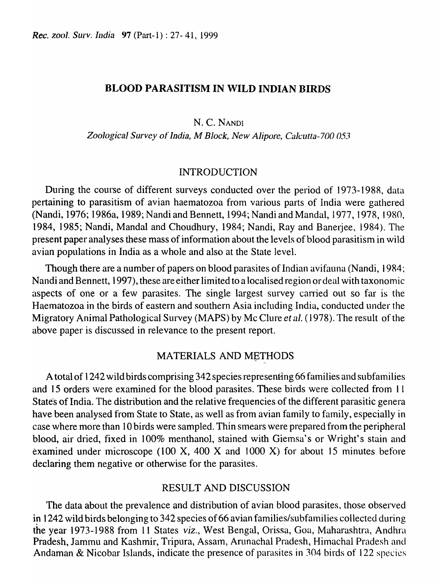### BLOOD PARASITISM IN WILD INDIAN BIRDS

N. C. NANDI

*Zoological Survey* of *India,* M *Block, New Alipore, Calcutta-700 053* 

### INTRODUCTION

During the course of different surveys conducted over the period of 1973-198R, data pertaining to parasitism of avian haematozoa from various parts of India were gathered (Nandi, 1976; 1986a, 1989; Nandi and Bennett, 1994; Nandi and MandaI, 1977, 1978, 1980, 1984, 1985; Nandi, Mandal and Choudhury, 1984; Nandi, Ray and Banerjee, 1984). The present paper analyses these mass of information about the levels of blood parasitism in wild avian populations in India as a whole and also at the State level.

Though there are a number of papers on blood parasites of Indian avifauna (Nandi, 1984; Nandi and Bennett, 1997), these are either limited to a localised region or deal with taxonomic aspects of one or a few parasites. The single largest survey carried out so far is the Haetatozoa in the birds of eastern and southern Asia including India, conducted under the Migratory Animal Pathological Survey (MAPS) by Mc Clure et *al.* (1978). The result of the above paper is discussed in relevance to the present report.

# MATERIALS AND METHODS

A total of 1242 wild birds comprising 342 species representing 66 families and subfamilies and 15 orders were examined for the blood parasites. These birds were collected from 11 State's of India. The distribution and the relative frequencies of the different parasitic genera have been analysed from State to State, as well as from avian family to family, especially in case where more than 10 birds were sampled. Thin smears were prepared from the peripheral blood, air dried, fixed in 100% menthanol, stained with Giemsa's or Wright's stain and examined under microscope (100 X, 400 X and 1000 X) for about 15 minutes before declaring them negative or otherwise for the parasites.

#### RESULT AND DISCUSSION

The data about the prevalence and distribution of avian blood parasites, those observed in 1242 wild birds belonging to 342 species of 66 avian families/subfamilies collected during the year 1973-1988 from 11 States *viz.*, West Bengal, Orissa, Goa, Maharashtra, Andhra Pradesh, Jammu and Kashmir, Tripura, Assam, Arunachal Pradesh, Himachal Pradesh and Andaman & Nicobar Islands, indicate the presence of parasites in 304 birds of 122 species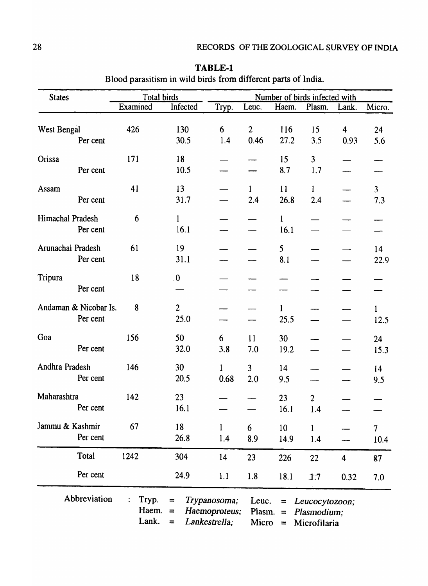| <b>States</b>     |                                   | Total birds        |                        |                               | Number of birds infected with |                          |                               |                         |                        |  |  |  |
|-------------------|-----------------------------------|--------------------|------------------------|-------------------------------|-------------------------------|--------------------------|-------------------------------|-------------------------|------------------------|--|--|--|
|                   |                                   | Examined           | Infected               | Tryp.                         | Leuc.                         | Haem.                    | Plasm.                        | Lank.                   | Micro.                 |  |  |  |
| West Bengal       | Per cent                          | 426                | 130<br>30.5            | 6<br>1.4                      | $\overline{2}$<br>0.46        | <b>116</b><br>27.2       | 15<br>3.5                     | 4<br>0.93               | 24<br>5.6              |  |  |  |
| Orissa            | Per cent                          | 171                | 18<br>10.5             |                               |                               | 15<br>8.7                | 3 <sup>1</sup><br>1.7         |                         |                        |  |  |  |
| Assam             | Per cent                          | 41                 | 13<br>31.7             |                               | $\mathbf{1}$<br>2.4           | 11<br>26.8               | 1<br>2.4                      |                         | $\overline{3}$<br>7.3  |  |  |  |
| Himachal Pradesh  | Per cent                          | 6                  | $\mathbf{1}$<br>16.1   |                               |                               | l<br>16.1                |                               |                         |                        |  |  |  |
| Arunachal Pradesh | Per cent                          | 61                 | 19<br>31.1             |                               |                               | 5 <sup>5</sup><br>8.1    |                               |                         | 14<br>22.9             |  |  |  |
| Tripura           | Per cent                          | 18                 | $\overline{0}$ .       |                               |                               |                          |                               |                         |                        |  |  |  |
|                   | Andaman & Nicobar Is.<br>Per cent | 8                  | $\overline{2}$<br>25.0 |                               |                               | $\mathbf{1}$<br>25.5     |                               |                         | $\mathbf{1}$<br>12.5   |  |  |  |
| Goa               | Per cent                          | 156                | 50<br>32.0             | 6<br>3.8                      | 11<br>7.0                     | 30<br>19.2               |                               |                         | 24<br>15.3             |  |  |  |
| Andhra Pradesh    | Per cent                          | 146                | 30<br>20.5             | $\mathbf{1}$<br>0.68          | $\overline{3}$<br>2.0         | 14<br>9.5                |                               |                         | 14<br>9.5              |  |  |  |
| Maharashtra       | Per cent                          | 142                | 23<br>16.1             |                               |                               | 23<br>16.1               | $\overline{2}$<br>1.4         |                         |                        |  |  |  |
| Jammu & Kashmir   | Per cent                          | 67                 | 18<br>26.8             | $\mathbf{1}$<br>1.4           | 6<br>8.9                      | 10 <sup>10</sup><br>14.9 | $\mathbf{1}$<br>1.4           |                         | $\overline{7}$<br>10.4 |  |  |  |
|                   | Total                             | 1242               | 304                    | 14                            | 23                            | 226                      | 22                            | $\overline{\mathbf{4}}$ | 87                     |  |  |  |
|                   | Per cent                          |                    | 24.9                   | 1.1                           | 1.8                           | 18.1                     | 1.7                           | 0.32                    | 7.0                    |  |  |  |
|                   | Abbreviation                      | Tryp.<br>Haem. $=$ | $\equiv$               | Trypanosoma;<br>Haemoproteus; | Leuc.<br>Plasm.               | $\equiv$<br>$\equiv$     | Leucocytozoon;<br>Plasmodium; |                         |                        |  |  |  |

Lank. = *Lankestrella;* Micro = Microfilaria

| <b>TABLE-1</b>                                                |
|---------------------------------------------------------------|
| Blood parasitism in wild birds from different parts of India. |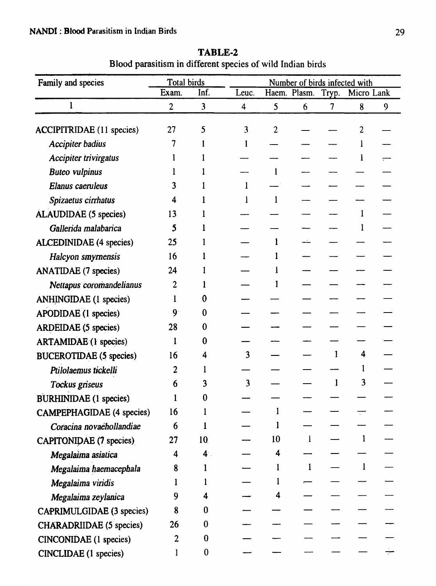| Family and species               | Total birds    |                  |                |                |              |   | Number of birds infected with |   |
|----------------------------------|----------------|------------------|----------------|----------------|--------------|---|-------------------------------|---|
|                                  | Exam.          | Inf.             | Leuc.          |                |              |   | Haem. Plasm. Tryp. Micro Lank |   |
| 1                                | $\overline{2}$ | 3                | $\overline{4}$ | 5              | 6            | 7 | 8                             | 9 |
| <b>ACCIPITRIDAE</b> (11 species) | 27             | 5                | 3              | $\overline{c}$ |              |   |                               |   |
| <b>Accipiter badius</b>          |                |                  |                |                |              |   |                               |   |
| <b>Accipiter trivirgatus</b>     |                |                  |                |                |              |   |                               |   |
| <b>Buteo vulpinus</b>            |                |                  |                |                |              |   |                               |   |
| Elanus caeruleus                 | 3              |                  |                |                |              |   |                               |   |
| Spizaetus cirrhatus              | 4              |                  |                |                |              |   |                               |   |
| ALAUDIDAE (5 species)            | 13             |                  |                |                |              |   |                               |   |
| Gallerida malabarica             | 5              |                  |                |                |              |   |                               |   |
| <b>ALCEDINIDAE</b> (4 species)   | 25             |                  |                |                |              |   |                               |   |
| Halcyon smyrnensis               | 16             |                  |                |                |              |   |                               |   |
| <b>ANATIDAE</b> (7 species)      | 24             |                  |                |                |              |   |                               |   |
| Nettapus coromandelianus         | 2              |                  |                |                |              |   |                               |   |
| <b>ANHINGIDAE</b> (1 species)    |                | 0                |                |                |              |   |                               |   |
| <b>APODIDAE</b> (1 species)      | 9              | $\bf{0}$         |                |                |              |   |                               |   |
| <b>ARDEIDAE</b> (5 species)      | 28             | 0                |                |                |              |   |                               |   |
| <b>ARTAMIDAE</b> (1 species)     |                | 0                |                |                |              |   |                               |   |
| <b>BUCEROTIDAE</b> (5 species)   | 16             |                  | 3              |                |              |   | 4                             |   |
| Ptilolaemus tickelli             |                |                  |                |                |              |   |                               |   |
| Tockus griseus                   | 6              |                  | ้ว             |                |              |   |                               |   |
| <b>BURHINIDAE</b> (1 species)    |                | 0                |                |                |              |   |                               |   |
| <b>CAMPEPHAGIDAE</b> (4 species) | 16             |                  |                |                |              |   |                               |   |
| Coracina novaéhollandiae         | 6              | 1                |                |                |              |   |                               |   |
| <b>CAPITONIDAE (7 species)</b>   | 27             | 10               |                | 10             |              |   | $\mathbf{1}$                  |   |
| Megalaima asiatica               | 4              | 4 <sup>1</sup>   |                | 4              |              |   |                               |   |
| Megalaima haemacephala           | $8 -$          |                  |                | $\mathbf{l}$   | $\mathbf{1}$ |   | 1                             |   |
| Megalaima viridis                |                |                  |                |                |              |   |                               |   |
| Megalaima zeylanica              | 9              | 4                |                | 4              |              |   |                               |   |
| CAPRIMULGIDAE (3 species)        | 8              | 0                |                |                |              |   |                               |   |
| <b>CHARADRIIDAE</b> (5 species)  | 26             | $\boldsymbol{0}$ |                |                |              |   |                               |   |
| <b>CINCONIDAE</b> (1 species)    | 2              | $\bf{0}$         |                |                |              |   |                               |   |
| <b>CINCLIDAE</b> (1 species)     |                | $\bf{0}$         |                |                |              |   |                               |   |

TABLE-2 Blood parasitism in different species of wild Indian birds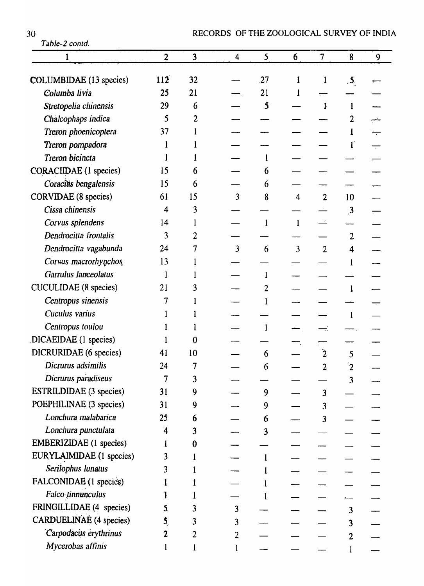| 30<br>Table-2 contd.           | RECORDS OF THE ZOOLOGICAL SURVEY OF INDI |                         |                |                         |                |                         |                         |   |  |
|--------------------------------|------------------------------------------|-------------------------|----------------|-------------------------|----------------|-------------------------|-------------------------|---|--|
|                                | $\overline{2}$                           | $\overline{\mathbf{3}}$ | 4              | 5                       | 6              | $\overline{7}$          | 8                       | 9 |  |
|                                |                                          |                         |                |                         |                |                         |                         |   |  |
| <b>COLUMBIDAE</b> (13 species) | 112                                      | 32                      |                | 27                      | 1              | 1                       | $\overline{\mathbf{5}}$ |   |  |
| Columba livia                  | 25                                       | 21                      |                | 21                      |                |                         |                         |   |  |
| Stretopelia chinensis          | 29                                       | 6                       |                | $\mathbf{5}$            |                | Ŀ                       |                         |   |  |
| Chalcophaps indica             | 5                                        | 2                       |                |                         |                |                         | 2                       |   |  |
| Treron phoenicoptera           | 37                                       |                         |                |                         |                |                         |                         |   |  |
| Treron pompadora               |                                          |                         |                |                         |                |                         |                         |   |  |
| Treron bicincta                |                                          |                         |                |                         |                |                         |                         |   |  |
| <b>CORACIIDAE</b> (1 species)  | 15                                       | 6                       |                | 6                       |                |                         |                         |   |  |
| Coracias bengalensis           | 15                                       | 6                       |                | 6                       |                |                         |                         |   |  |
| <b>CORVIDAE</b> (8 species)    | 61                                       | 15                      | 3              | 8                       | $\overline{4}$ | $\overline{2}$          | 10                      |   |  |
| Cissa chinensis                | 4                                        | 3                       |                |                         |                |                         | $\mathbf{3}$            |   |  |
| Corvus splendens               | 14                                       |                         |                | $\mathbf{1}$            | $\mathbf{l}$   |                         |                         |   |  |
| Dendrocitta frontalis          | 3                                        | 2                       |                |                         |                |                         | $\overline{c}$          |   |  |
| Dendrocitta vagabunda          | 24                                       |                         | 3              | 6                       | 3              | $\overline{2}$          | 4                       |   |  |
| Corwus macrorhynchos           | 13                                       |                         |                |                         |                |                         |                         |   |  |
| Garrulus lanceolatus           | $\mathbf{l}$                             |                         |                |                         |                |                         |                         |   |  |
| <b>CUCULIDAE</b> (8 species)   | 21                                       | 3                       |                | 2                       |                |                         | $\mathbf{l}$            |   |  |
| Centropus sinensis             |                                          |                         |                |                         |                |                         |                         |   |  |
| Cuculus varius                 |                                          |                         |                |                         |                |                         |                         |   |  |
| Centropus toulou               |                                          |                         |                |                         |                |                         |                         |   |  |
| DICAEIDAE (1 species)          |                                          | $\bf{0}$                |                |                         |                |                         |                         |   |  |
| DICRURIDAE (6 species)         | 41                                       | 10                      |                | 6                       |                | $\mathbf{2}$            | 5                       |   |  |
| Dicrurus adsimilis             | 24                                       | 7                       |                | 6                       |                | $\overline{2}$          | $\mathbf{2}$            |   |  |
| Dicrurus paradiseus            | 7                                        | 3                       |                |                         |                |                         | 3                       |   |  |
| <b>ESTRILDIDAE</b> (3 species) | 31                                       | 9                       |                | 9 <sub>l</sub>          |                | $\overline{\mathbf{3}}$ |                         |   |  |
| POEPHILINAE (3 species)        | 31                                       | 9                       |                | 9                       |                | 3                       |                         |   |  |
| Lonchura malabarica            | 25                                       | 6                       |                | 6                       |                | $\overline{\mathbf{3}}$ |                         |   |  |
| Lonchura punctulata            | $\mathbf 4$                              | 3                       |                | $\overline{\mathbf{3}}$ |                |                         |                         |   |  |
| EMBERIZIDAE (1 species)        |                                          | $\boldsymbol{0}$        |                |                         |                |                         |                         |   |  |
| EURYLAIMIDAE (1 species)       | 3                                        |                         |                |                         |                |                         |                         |   |  |
| Serilophus lunatus             | 3                                        |                         |                |                         |                |                         |                         |   |  |
| FALCONIDAE (1 species)         |                                          |                         |                |                         |                |                         |                         |   |  |
| Falco tinnunculus              |                                          |                         |                |                         |                |                         |                         |   |  |
| FRINGILLIDAE (4 species)       | 5.                                       | 3                       | 3              |                         |                |                         | 3                       |   |  |
| <b>CARDUELINAE</b> (4 species) | 5,                                       | 3                       | 3              |                         |                |                         | 3                       |   |  |
| Carpodacus erythrinus          | $\mathbf 2$                              | 2                       | $\overline{2}$ |                         |                |                         | $\overline{2}$          |   |  |
| Mycerobas affinis              |                                          |                         |                |                         |                |                         |                         |   |  |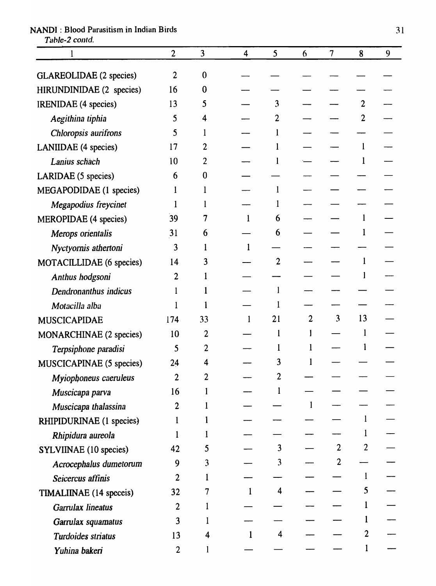# 1 2 3 4 5 6 7 8 9 GLAREOLIDAE (2 species) 2 0 HIRUNDINIDAE (2 species) 16 0  $\overline{\phantom{0}}$ IRENIDAE (4 species) 13 5  $-$  3  $-$  2 *Aegithina tiphia* **5** 5 4 - 2 - 2 2 *Chloropsis aurifrons* 5 1 – 1 LANIIDAE (4 species)  $17 \t 2 \t -1 \t -1$ *Lanius schach* 10 2 - 1 - 1 LARIDAE (5 species) 6 0  $\equiv$  $\overline{\phantom{0}}$  $\overline{\phantom{0}}$ MEGAPODIDAE (1 species)  $1 \t 1 \t -1$ *Megapodius freycinet* 1 1 1 - 1 MEROPIDAE (4 species) 39 7 1 6  $\mathbf{1}$ *Merops orientalis* 31 6 - 6 - 1 *Nyctyomis athertoni* 3 1 1 MOTACILLIDAE (6 species)  $14$  3  $-$  2  $-$  1  $\mathbf{1}$ *Anthus hodgsoni* 2 1  $\mathbf{1}$ *Dendronanthus indicus* 1 1 *Motacilla alba* 1 1 1 1 1  $\overline{\phantom{iiiiii}}$ MUSCICAPIDAE 174 33 1 21 2 3 13 MONARCHINAE (2 species)  $10 \t 2 \t -1 \t 1 \t -1$  $Terpsiphone$  paradisi  $\begin{array}{cccc} 5 & 2 & -1 & 1 & -1 \end{array}$ MUSCICAPINAE (5 species)  $24 \t 4 \t -3$  $\mathbf{1}$ *Myiophoneus caeruleus* 2 2 <del>2</del> 2 *Muscicapa parva* 16 1 – 1  $\mathbf{1}$ *Muscicapa thalassina* 2 1  $\overline{\phantom{0}}$ RHIPIDURINAE (1 species)  $1 \quad 1 \quad - \quad - \quad - \quad 1$ *Rhipidura aureola* 1 1 1 SYLVIINAE (10 species)  $42 \t 5 \t -3 \t -2 \t 2$ Acrocephalus dumetorum 9 3 - 3 - 2  $S$ eicercus affinis  $2 \qquad 1 \qquad - \qquad - \qquad - \qquad 1$ TIMALIINAE (14 speceis)  $32 \t 7 \t 1 \t 4 \t - \t - \t 5$  $Garrulax lineatus$  2 1  $-$  1 *Garrulax squamatus*  $3 \t 1 \t - \t - \t - \t - \t 1$  $\overline{\phantom{0}}$ *Turdoides striatus* 13 4 1 4  $-$  2

*Yuhina bakeri* 2 1 – – – – 1

# NANDI: Blood Parasitism in Indian Birds 31

Table-2 contd.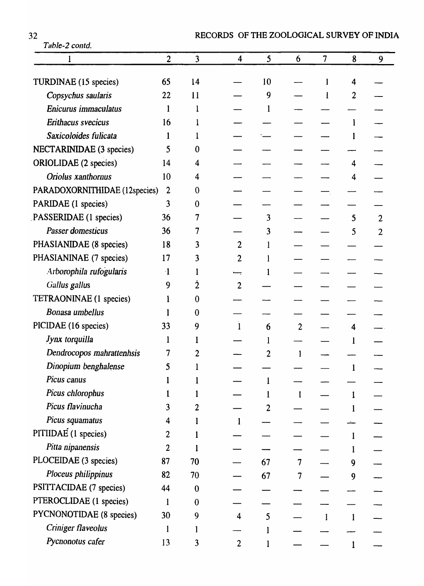| 32<br>Table-2 contd.            |                |                | RECORDS OF THE ZOOLOGICAL SURVEY OF INDIA |    |                |                |   |                |
|---------------------------------|----------------|----------------|-------------------------------------------|----|----------------|----------------|---|----------------|
|                                 | $\overline{2}$ | $\overline{3}$ | 4                                         | 5  | 6              | $\overline{7}$ | 8 | 9              |
|                                 |                |                |                                           |    |                |                |   |                |
| TURDINAE (15 species)           | 65             | 14             |                                           | 10 |                |                | 4 |                |
| Copsychus saularis              | 22             | 11             |                                           | 9  |                |                | 2 |                |
| Enicurus immaculatus            | 1              | $\mathbf{l}$   |                                           |    |                |                |   |                |
| Erithacus svecicus              | 16             |                |                                           |    |                |                |   |                |
| Saxicoloides fulicata           |                |                |                                           |    |                |                | 1 |                |
| <b>NECTARINIDAE</b> (3 species) | 5              | $\bf{0}$       |                                           |    |                |                |   |                |
| ORIOLIDAE (2 species)           | 14             | 4              |                                           |    |                |                | 4 |                |
| Oriolus xanthornus              | 10             | 4              |                                           |    |                |                | 4 |                |
| PARADOXORNITHIDAE (12species)   | $\overline{2}$ | $\bf{0}$       |                                           |    |                |                |   |                |
| PARIDAE (1 species)             | 3              | $\mathbf{0}$   |                                           |    |                |                |   |                |
| PASSERIDAE (1 species)          | 36             | 7              |                                           | 3  |                |                | 5 | $\overline{2}$ |
| <b>Passer domesticus</b>        | 36             |                |                                           | 3  |                |                | 5 | $\overline{2}$ |
| PHASIANIDAE (8 species)         | 18             | 3              | 2                                         |    |                |                |   |                |
| PHASIANINAE (7 species)         | 17             | 3              | 2                                         |    |                |                |   |                |
| Arborophila rufogularis         | $\cdot$ 1      |                |                                           |    |                |                |   |                |
| Gallus gallus                   | 9              | 2              | 2                                         |    |                |                |   |                |
| TETRAONINAE (1 species)         |                | $\overline{0}$ |                                           |    |                |                |   |                |
| Bonasa umbellus                 |                | 0              |                                           |    |                |                |   |                |
| PICIDAE (16 species)            | 33             | 9              |                                           | 6  | $\overline{2}$ |                | 4 |                |
| Jynx torquilla                  |                |                |                                           |    |                |                |   |                |
| Dendrocopos mahrattenhsis       |                | 2              |                                           | 2  | 1              |                |   |                |
| Dinopium benghalense            | 5              |                |                                           |    |                |                |   |                |
| Picus canus                     |                |                |                                           |    |                |                |   |                |
| Picus chlorophus                |                |                |                                           |    |                |                |   |                |
| Picus flavinucha                | 3              | 2              |                                           | 2  |                |                |   |                |
| Picus squamatus                 | 4              |                |                                           |    |                |                |   |                |
| PITIIDAE (1 species)            | 2              |                |                                           |    |                |                |   |                |
| Pitta nipanensis                | $\overline{2}$ |                |                                           |    |                |                |   |                |
| PLOCEIDAE (3 species)           | 87             | 70             |                                           | 67 | 7              |                | 9 |                |
| Ploceus philippinus             | 82             | 70             |                                           | 67 |                |                | 9 |                |
| PSITTACIDAE (7 species)         | 44             | $\mathbf{0}$   |                                           |    |                |                |   |                |
| PTEROCLIDAE (1 species)         | l              | $\overline{0}$ |                                           |    |                |                |   |                |
| <b>PYCNONOTIDAE</b> (8 species) | 30             | 9              | 4                                         | 5  |                |                |   |                |
| Criniger flaveolus              |                |                |                                           |    |                |                |   |                |
| Pycnonotus cafer                | 13             | 3              | $\overline{2}$                            |    |                |                |   |                |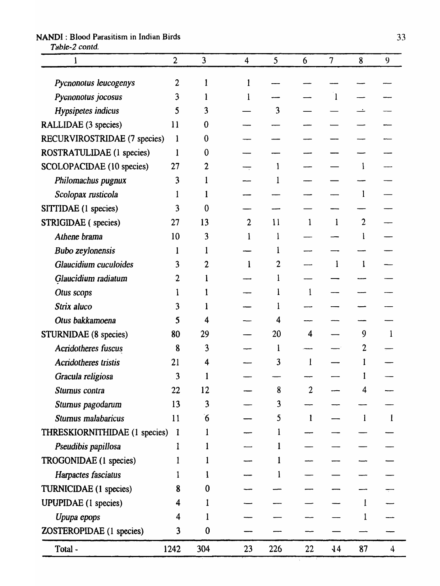# NANDI: Blood Parasitism in Indian Birds 33

Table-2 contd.

|                               | $\overline{2}$          | $\overline{3}$ | 4              | 5   | 6              | 7          | 8              | 9 |
|-------------------------------|-------------------------|----------------|----------------|-----|----------------|------------|----------------|---|
| Pycnonotus leucogenys         | 2                       |                |                |     |                |            |                |   |
| Pycnonotus jocosus            | 3                       |                |                |     |                |            |                |   |
| Hypsipetes indicus            | 5                       | 3              |                | 3   |                |            |                |   |
| RALLIDAE (3 species)          | 11                      | 0              |                |     |                |            |                |   |
| RECURVIROSTRIDAE (7 species)  | 1                       | 0              |                |     |                |            |                |   |
| ROSTRATULIDAE (1 species)     | 1                       | 0              |                |     |                |            |                |   |
| SCOLOPACIDAE (10 species)     | 27                      |                |                |     |                |            |                |   |
| Philomachus pugnux            | 3                       |                |                |     |                |            |                |   |
| Scolopax rusticola            |                         |                |                |     |                |            |                |   |
| SITTIDAE (1 species)          | 3                       | 0              |                |     |                |            |                |   |
| STRIGIDAE (species)           | 27                      | 13             | $\overline{2}$ | 11  | 1              |            | $\overline{2}$ |   |
| Athene brama                  | 10                      | 3              |                |     |                |            |                |   |
| <b>Bubo zeylonensis</b>       |                         |                |                |     |                |            |                |   |
| Glaucidium cuculoides         | 3                       |                | 1              |     |                |            | $\mathbf 1$    |   |
| Glaucidium radiatum           |                         |                |                |     |                |            |                |   |
| Otus scops                    |                         |                |                |     |                |            |                |   |
| Strix aluco                   | 3                       |                |                |     |                |            |                |   |
| Otus bakkamoena               | 5                       |                |                |     |                |            |                |   |
| STURNIDAE (8 species)         | 80                      | 29             |                | 20  | 4              |            | 9              |   |
| Acridotheres fuscus           | 8                       | 3              |                |     |                |            |                |   |
| <b>Acridotheres tristis</b>   | 21                      | 4              |                | 3   |                |            |                |   |
| Gracula religiosa             | 3                       |                |                |     |                |            |                |   |
| Sturnus contra                | 22                      | 12             |                | 8   | $\overline{2}$ |            | 4              |   |
| Sturnus pagodarum             | 13                      | 3              |                | 3   |                |            |                |   |
| Sturnus malabaricus           | 11                      | $6^{\circ}$    |                | 5   | $\mathbf{1}$   |            | $\mathbf{1}$   | 1 |
| THRESKIORNITHIDAE (1 species) | $\overline{\mathbf{1}}$ |                |                |     |                |            |                |   |
| Pseudibis papillosa           | l                       |                |                |     |                |            |                |   |
| TROGONIDAE (1 species)        |                         |                |                |     |                |            |                |   |
| Harpactes fasciatus           |                         |                |                |     |                |            |                |   |
| <b>TURNICIDAE</b> (1 species) | 8                       | 0              |                |     |                |            |                |   |
| <b>UPUPIDAE</b> (1 species)   | 4                       |                |                |     |                |            |                |   |
| Upupa epops                   | 4                       |                |                |     |                |            |                |   |
| ZOSTEROPIDAE (1 species)      | 3                       | $\bf{0}$       |                |     |                |            |                |   |
| Total-                        | 1242                    | 304            | 23             | 226 | 22             | $\sqrt{4}$ | 87             | 4 |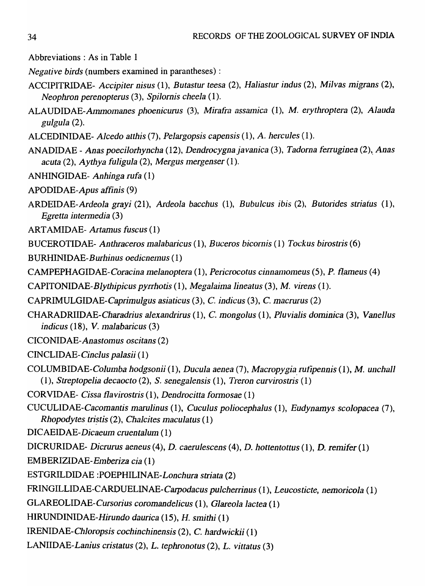Abbreviations: As in Table 1

*Negative birds* (numbers examined in parantheses) :

- ACCIPITRIDAE- *Accipiter nisus* (1), *Butastur teesa* (2), *Haliastur indus* (2), *Milvas Inigrans (2), Neophron perenopterus* (3), *Spilornis cheela* (1).
- *ALAUDIDAE-Almnolnanes phoenicurus* (3), *Mirafra assmnica* (1), M. *elythroptel'a* (2), *Alauda gulgula (2).*
- ALCEDINIDAE- *Alcedo atthis* (7), *Pelargopsis capensis* (1), *A. hercules* (1).
- ANADIDAE *Anas poecilorhyncha* (12), *Dendrocygnajavanica* (3), *Tadorna ferruginea* (2),. *Anas acuta* (2), *Aythya fuligula* (2), *Mergus Inergenser* (1).
- ANHINGIDAE- *Anhinga rufa (1)*
- APODIDAE-Apus *affinis (9)*
- *ARDEIDAE-Ardeola grayi* (21), *Ardeola bacchus* (1), *Bubulcus ibis* (2), *Butorides striatus (1), Egretta intennedia (3)*
- ARTAMIDAE- *Artamus fuscus (1)*

BUCEROTIDAE- *Anthraceros malabaricus* (1), *Buceros bicornis* (1) *Tockus birostris* (6)

- BURHINIDAE-Burhinus oedicnemus (1)
- *CAMPEPHAGIDAE-Coracina melanoptera* (1), *Pericrocotus cinnamomeus* (5), *P. flameus* (4)
- CAPITONIDAE-*Blythipicus pyrrhotis* (1), *lyfegalaima lineatus* (3), M. *virens* (1).
- *CAPRIMULGIDAE-Caprimulgus asiaticus* (3), C. *indicus* (3), C. *macrurus (2)*
- *CHARADRIIDAE-Charadrius alexandrirus* (1), C. *mongolus* (1), *Pluvialis dominica* (3), *Vanellus indicus* (18), *V. Inalabaricus (3)*
- *CICONIDAE-Anastolnus oscitans (2)*
- *CINCLIDAE-Cinclus palasii (1)*
- *COLUMBIDAE-Columba hodgsonii* (1), *Ducula aenea* (7), *Macropygia rufipennis* (1), *M. unchall (1), Streptopelia decaocto* (2), S. *senegalensis* (1), *Treron curvirostris* (1)
- CORVIDAE- *Cissa 11avirostris* (1), *Dendrocitta* fonnosae (1)
- *CUCULIDAE-Cacomantis marulinus* (1), *Cuculus poliocephalus* (1), *Eudynamys scolopacea (7),*  Rhopodytes\_tri~tis (2), *Chalcites maculatus (1)*

*DICAEIDAE-Dicaeuln cruentalum (1)* 

- DICRURIDAE- *Dicrurus aeneus* (4), *D. caerulescens* (4), D. *hottentottus* (1), D. *remifer(1)*
- *EMBERIZIDAE-Elnberiza cia (1)*
- ESTGRILDIDAE *:POEPHILINAE-Lonchura striata (2)*
- FRINGILLIDAE-CAROUELINAE-Carpodacus *pulcherrinus* (1), *Leucosticte, nemoricola (1)*
- *GLAREOLIDAE-Cursorius coromandelicus* (1), *Glareola lactea (1)*
- HIRUNDINIDAE-Hirundo *daurica* (15), H. *smithi (1)*
- *IRENIDAE-Chloropsis cochinchinensis* (2), C. *hardwickii (1)*
- *LANIIDAE-Lanius cristatus* (2), *L. tephronotus* (2), *L. vittatus (3)*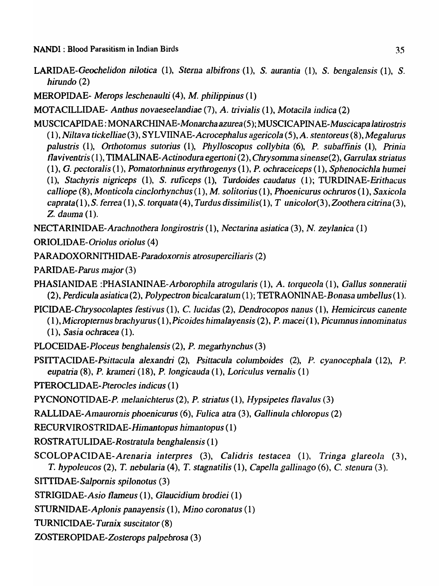- *LARIDAE-Geochelidon nilotica* (1), *Sterna albifrons'(I),* S. *aurantia* (1), S. *bengaJensis* (1), S. *hirundo (2)*
- MEROPIDAE- *Merops leschenaulti* (4), M. *philippinus* (1)
- MOTACILLIDAE- *Anthus novaeseelandiae* (7), *A. trivialis* (1), *Motacila indica* (2)
- MUSCICAPIDAE: M *ONARCHINAE-Monarcha azurea* (5); *MUSCICAPINAE-Muscicapa latirostris*  (1), *Niltava tickelliae(3), SYLVIINAE-Acrocephalus agericola(5),A. stentoreus (8),Megalul"us palustris* (1), *Orthotomus sutorius* (1), *Phylloscopus collybita* (6), *P. subaffinis* (1), *Prinia flaviventris* (1), **TIMALINAE-Actinodura egertoni** (2), *Chrysomma sinense* (2), *Garrulax striatus* (1), G. *pectoralis* (1), *Pomatorhninus erythrogenys* (1), *P. ochraceiceps* (1), *Sphenocichla hUlnei*  (1), *Stachyris nigriceps* (1), S. *ruficeps* (1), *Turdoides caudatus* (1); *TURDINAE-Erithacus calliope* (8), *Monticola cinclorhynchus* (1), M. *solitorius* (1), *Phoenicurus ochruros* (1), *Saxicola caprata(* 1), S. *ferrea* (1), S. *torquata* (4), *Turdus dissinlilis(* 1), *T unicolor(3), Zoothera citrina* (3), **Z.** dauma (1).
- *NECTARINIDAE-Arachnothera longirostris* (1), *Nectarina asiatica* (3), *N. zeylanica* (1)
- ORIOLIDAE-Oriolus *oriolus (4)*
- PARADOXORNITHIDAE-Paradoxornis atrosuperciliaris (2)
- PARIDAE-Parus major(3)
- PHASIANIDAE *:PHASIANINAE-Arborophila atrogularis* (1), *A. torqueola* (1), *Gallus sonneralii (2), Perdicula asiatica* (2), *Polypectron bicalcaratuln* (1); TETRAONINAE-*Bonasa ulnbellus* (1).
- *PICIDAE-Chrysocolaptes festivus* (1), *C. lucidas* (2), *Dendrocopos nanus* (1), *Hemicircus canente* (1 ), *Micropternus brachyurus* (1), *Picoides himalayensis* (2), *P. Inacei* (1), *Piculnnus innominatus*  (1), *Sasia ochracea* (1).
- PLOCEIDAE-Ploceus *benghalensis* (2), *P. megarhynchus (3)*
- PSITI *ACIDAE-Psittacula alexandri* (2), *Psittacula columboides* (2), *P. cyanocephaJa* (12), *P. eupatria* (8), P. *krmneri* (18), *P. longicauda* (1), *Loriculus vernalis* (1)
- *PTEROCLIDAE .. Pterocles indicus* (1)
- PYCNONOTIDAE-P. *Inelanichterus* (2), *P. striatus* (1), *Hypsipetes flavaJus (3)*
- *RALLIDAE-All18urornis phoenicurus* (6), *Fulica atra* (3), *Gallinula chloropus (2)*
- *RECURVIROSTRIDAE-Hilnantopus hilnantopus* (1)
- ROSTRA TULIDAE-*Rostratula benghalensis* (1)
- *SCOLOPACIDAE-Arenaria interpres* (3), *Calidris testacea* (1), *Tringa glareola (3), T. hypoleucos (2), T. nebularia (4), T. stagnatilis (1), Capella gallinago (6), C. stenura (3).*
- *SITIIDAE-Salpornis spilonotus (3)*
- STRIGIDAE-Asio *flameus* (1), *Glaucidium brodiei* (1)
- *STURNIDAE-Aplonis panayensis* (1), *Mino coronatus* (1)
- TURNICIDAE-*Turnix suscitator (8)*
- ZOSTEROPIDAE-Zosterops *palpebrosa (3)*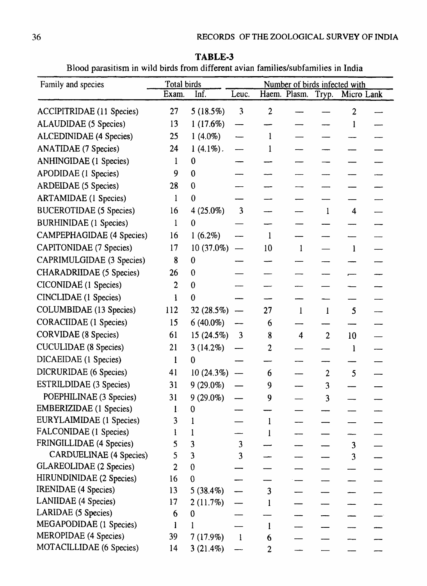**TABLE-3**  Blood parasitism in wild birds from different avian families/subfamilies in India

| Family and species               | Total birds    |                  | Number of birds infected with |                  |                               |                |                         |  |
|----------------------------------|----------------|------------------|-------------------------------|------------------|-------------------------------|----------------|-------------------------|--|
|                                  | Exam.          | Inf.             | Leuc.                         |                  | Haem. Plasm. Tryp. Micro Lank |                |                         |  |
| <b>ACCIPITRIDAE</b> (11 Species) | 27             | 5(18.5%)         | $\overline{3}$                | $\overline{2}$   |                               |                | $\overline{2}$          |  |
| <b>ALAUDIDAE</b> (5 Species)     | 13             | 1(17.6%)         | $\hspace{0.05cm}$             |                  |                               |                | $\mathbf{l}$            |  |
| <b>ALCEDINIDAE</b> (4 Species)   | 25             | $1(4.0\%)$       |                               |                  |                               |                |                         |  |
| <b>ANATIDAE</b> (7 Species)      | 24             | $1(4.1\%)$ .     |                               |                  |                               |                |                         |  |
| <b>ANHINGIDAE</b> (1 Species)    | 1              | $\bf{0}$         |                               |                  |                               |                |                         |  |
| APODIDAE (1 Species)             | 9              | $\mathbf 0$      |                               |                  |                               |                |                         |  |
| ARDEIDAE (5 Species)             | 28             | $\mathbf{0}$     |                               |                  |                               |                |                         |  |
| <b>ARTAMIDAE</b> (1 Species)     | $\mathbf{l}$   | $\mathbf{0}$     |                               |                  |                               |                |                         |  |
| <b>BUCEROTIDAE (5 Species)</b>   | 16             | $4(25.0\%)$      | 3                             |                  |                               | 1              | 4                       |  |
| <b>BURHINIDAE</b> (1 Species)    | 1              | $\theta$         |                               |                  |                               |                |                         |  |
| <b>CAMPEPHAGIDAE</b> (4 Species) | 16             | $1(6.2\%)$       |                               | $\mathbf{1}$     |                               |                |                         |  |
| CAPITONIDAE (7 Species)          | 17             | $10(37.0\%)$     |                               | 10               | $\mathbf{1}$                  |                | $\mathbf{l}$            |  |
| CAPRIMULGIDAE (3 Species)        | 8              | $\boldsymbol{0}$ |                               |                  |                               |                |                         |  |
| <b>CHARADRIIDAE</b> (5 Species)  | 26             | $\boldsymbol{0}$ |                               |                  |                               |                |                         |  |
| CICONIDAE (1 Species)            | $\overline{2}$ | $\boldsymbol{0}$ |                               |                  |                               |                |                         |  |
| <b>CINCLIDAE</b> (1 Species)     | l              | $\boldsymbol{0}$ |                               |                  |                               |                |                         |  |
| COLUMBIDAE (13 Species)          | 112            | 32(28.5%)        |                               | 27               | $\bf{l}$                      | $\mathbf{1}$   | 5                       |  |
| <b>CORACIIDAE</b> (1 Species)    | 15             | $6(40.0\%)$      |                               | 6                |                               |                |                         |  |
| <b>CORVIDAE</b> (8 Species)      | 61             | $15(24.5\%)$     | $\mathbf{3}$                  | 8                | $\overline{\mathbf{4}}$       | $\overline{2}$ | 10                      |  |
| <b>CUCULIDAE</b> (8 Species)     | 21             | $3(14.2\%)$      |                               | 2                |                               |                |                         |  |
| DICAEIDAE (1 Species)            |                |                  |                               |                  |                               |                |                         |  |
| DICRURIDAE (6 Species)           | 41             | 10(24.3%)        |                               | 6                |                               | 2              | 5                       |  |
| <b>ESTRILDIDAE</b> (3 Species)   | 31             | $9(29.0\%)$      |                               | 9                |                               | 3              |                         |  |
| POEPHILINAE (3 Species)          | 31             | $9(29.0\%)$      |                               | 9                |                               | 3              |                         |  |
| <b>EMBERIZIDAE</b> (1 Species)   | $\mathbf{1}$ . | $\boldsymbol{0}$ |                               |                  |                               |                |                         |  |
| EURYLAIMIDAE (1 Species)         | 3              |                  |                               | 1                |                               |                |                         |  |
| FALCONIDAE (1 Species)           | l              |                  |                               |                  |                               |                |                         |  |
| FRINGILLIDAE (4 Species)         | 5              | 3                | 3                             |                  |                               |                | $\overline{\mathbf{3}}$ |  |
| <b>CARDUELINAE</b> (4 Species)   | 5              | 3                | 3                             |                  |                               |                | 3                       |  |
| <b>GLAREOLIDAE</b> (2 Species)   | $\overline{2}$ | $\boldsymbol{0}$ |                               |                  |                               |                |                         |  |
| HIRUNDINIDAE (2 Species)         | 16             | $\bf{0}$         |                               |                  |                               |                |                         |  |
| <b>IRENIDAE</b> (4 Species)      | 13             | 5 $(38.4\%)$     |                               | 3                |                               |                |                         |  |
| <b>LANIIDAE</b> (4 Species)      | 17             | 2(11.7%)         |                               |                  |                               |                |                         |  |
| <b>LARIDAE</b> (5 Species)       | 6              | $\bf{0}$         |                               |                  |                               |                |                         |  |
| MEGAPODIDAE (1 Species)          |                |                  |                               | 1                |                               |                |                         |  |
| MEROPIDAE (4 Species)            | 39             | $7(17.9\%)$      | $\mathbf{I}$                  | 6                |                               |                |                         |  |
| MOTACILLIDAE (6 Species)         | 14             | $3(21.4\%)$      |                               | $\boldsymbol{2}$ |                               |                |                         |  |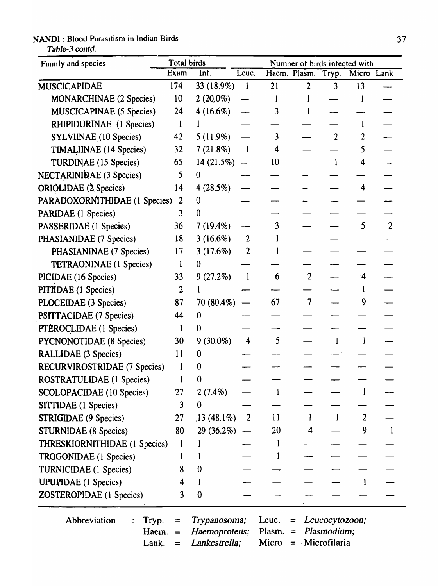# NANDI: Blood Parasitism in Indian Birds 37

Table-3 contd.

| Family and species                      | Total birds            |                                                | Number of birds infected with |                                                                                                  |                    |                |                |                |  |
|-----------------------------------------|------------------------|------------------------------------------------|-------------------------------|--------------------------------------------------------------------------------------------------|--------------------|----------------|----------------|----------------|--|
|                                         | Exam.                  | Inf.                                           | Leuc.                         |                                                                                                  | Haem. Plasm. Tryp. |                | Micro Lank     |                |  |
| <b>MUSCICAPIDAE</b>                     | 174                    | 33 (18.9%)                                     | $\mathbf{I}$                  | 21                                                                                               | $\overline{2}$     | 3              | 13             |                |  |
| MONARCHINAE (2 Species)                 | 10                     | $2(20,0\%)$                                    |                               | $\bf{l}$                                                                                         |                    |                |                |                |  |
| <b>MUSCICAPINAE (5 Species)</b>         | 24                     | 4(16.6%)                                       |                               | 3                                                                                                |                    |                |                |                |  |
| RHIPIDURINAE (1 Species)                | $\mathbf 1$            |                                                |                               |                                                                                                  |                    |                |                |                |  |
| <b>SYLVIINAE</b> (10 Species)           | 42                     | 5(11.9%)                                       |                               | 3                                                                                                |                    | $\overline{2}$ | $\overline{2}$ |                |  |
| <b>TIMALIINAE</b> (14 Species)          | 32                     | 7(21.8%)                                       | $\mathbf{l}$                  | 4                                                                                                |                    |                | 5              |                |  |
| TURDINAE (15 Species)                   | 65                     | $14(21.5\%)$                                   | $\overline{\phantom{0}}$      | 10                                                                                               |                    | l              | 4              |                |  |
| <b>NECTARINIDAE</b> (3 Species)         | 5                      | $\mathbf{0}$                                   |                               |                                                                                                  |                    |                |                |                |  |
| <b>ORIOLIDAE</b> (2 Species)            | 14                     | 4(28.5%)                                       |                               |                                                                                                  |                    |                | 4              |                |  |
| PARADOXORNITHIDAE (1 Species)           | 2                      | $\mathbf 0$                                    |                               |                                                                                                  |                    |                |                |                |  |
| <b>PARIDAE</b> (1 Species)              | 3                      | 0                                              |                               |                                                                                                  |                    |                |                |                |  |
| PASSERIDAE (1 Species)                  | 36                     | $7(19.4\%)$                                    |                               | 3                                                                                                |                    |                | 5              | $\overline{2}$ |  |
| PHASIANIDAE (7 Species)                 | 18                     | 3(16.6%)                                       | $\overline{2}$                |                                                                                                  |                    |                |                |                |  |
| PHASIANINAE (7 Species)                 | 17                     | 3(17.6%)                                       | $\overline{c}$                |                                                                                                  |                    |                |                |                |  |
| <b>TETRAONINAE</b> (1 Species)          | 1                      | $\bf{0}$                                       |                               |                                                                                                  |                    |                |                |                |  |
| PICIDAE (16 Species)                    | 33                     | $9(27.2\%)$                                    | $\mathbf{l}$                  | 6                                                                                                | $\overline{2}$     |                | $\cdot$ 4      |                |  |
| <b>PITIIDAE</b> (1 Species)             | $\overline{2}$         |                                                |                               |                                                                                                  |                    |                |                |                |  |
| PLOCEIDAE (3 Species)                   | 87                     | $70(80.4\%)$                                   |                               | 67                                                                                               | $\overline{7}$     |                | 9              |                |  |
| PSITTACIDAE (7 Species)                 | 44                     | $\bf{0}$                                       |                               |                                                                                                  |                    |                |                |                |  |
| PTEROCLIDAE (1 Species)                 | $1^{\circ}$            | $\theta$                                       |                               |                                                                                                  |                    |                |                |                |  |
| <b>PYCNONOTIDAE</b> (8 Species)         | 30 <sup>°</sup>        | $9(30.0\%)$                                    | 4                             | 5                                                                                                |                    |                |                |                |  |
| <b>RALLIDAE</b> (3 Species)             | 11                     | $\bf{0}$                                       |                               |                                                                                                  |                    |                |                |                |  |
| <b>RECURVIROSTRIDAE (7 Species)</b>     |                        | $\bf{0}$                                       |                               |                                                                                                  |                    |                |                |                |  |
| ROSTRATULIDAE (1 Species)               |                        | $\bf{0}$                                       |                               |                                                                                                  |                    |                |                |                |  |
| SCOLOPACIDAE (10 Species)               | 27                     | $2(7.4\%)$                                     |                               |                                                                                                  |                    |                | $\mathbf{1}$   |                |  |
| <b>SITTIDAE</b> (1 Species)             | 3                      | $\bf{0}$                                       |                               |                                                                                                  |                    |                |                |                |  |
| <b>STRIGIDAE</b> (9 Species)            | 27                     | $.13(48.1\%)$                                  | $\overline{2}$                | 11                                                                                               |                    |                | $\overline{2}$ |                |  |
| <b>STURNIDAE</b> (8 Species)            | 80                     | $29(36.2\%)$                                   |                               | 20                                                                                               | 4                  |                | 9              |                |  |
| THRESKIORNITHIDAE (1 Species)           | $\mathbf{l}$           |                                                |                               |                                                                                                  |                    |                |                |                |  |
| TROGONIDAE (1 Species)                  | l                      |                                                |                               |                                                                                                  |                    |                |                |                |  |
| TURNICIDAE (1 Species)                  | 8                      | $\bf{0}$                                       |                               |                                                                                                  |                    |                |                |                |  |
| <b>UPUPIDAE</b> (1 Species)             | 4                      |                                                |                               |                                                                                                  |                    |                |                |                |  |
| <b>ZOSTEROPIDAE</b> (1 Species)         | 3                      | $\boldsymbol{0}$                               |                               |                                                                                                  |                    |                |                |                |  |
| Abbreviation<br>Tryp.<br>Haem.<br>Lank. | $=$<br>$\equiv$<br>$=$ | Trypanosoma;<br>Haemoproteus;<br>Lankestrella; |                               | Leuc.<br>Leucocytozoon;<br>$=$<br>Plasmodium;<br>Plasm.<br>$\equiv$<br>$=$ Microfilaria<br>Micro |                    |                |                |                |  |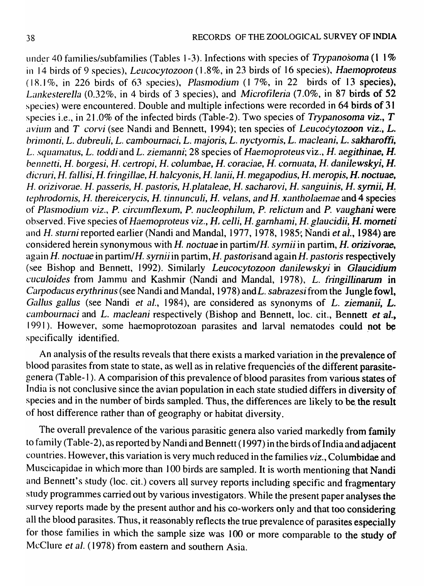under 40 families/subfamilies (Tables 1-3). Infections with species of *Trypanosoma* (1 1% in 14 birds of 9 species), *Leucocytozoon* (1.8%, in 23 birds of 16 species), *Haemoproteus*.  $(18.1\%$ , in 226 birds of 63 species), *Plasmodium*  $(17\%$ , in 22 birds of 13 species), Lankesterella (0.32%, in 4 birds of 3 species), and *Microfileria* (7.0%, in 87 birds of 52 species) were encountered. Double and multiple infections were recorded in 64 birds of 31 species i.e., in 21.0% of the infected birds (Table-2). Two species of *Trypanosoma viz.*, T *avium and T corvi* (see Nandi and Bennett, 1994); ten species of *Leucocytozoon viz.*, *L. bril11onti, L. dubreuli, L. cambournaci, L. m'J.joris, L. nyctyornis, L. Inacleani, L. sakharoffi, L. squnnlntus, L. toddi* and L. *ziemanni;* 28 species of *Haemoproteus* viz., H. *aegithinae,* H. *benl1etti,* H. *borgesi,* H. *celtropi,* H. *columbae,* H. *coraciae,* H. *cornuata,* H. danilews~yi, H. *dicrlllj,* H. *fallisi,* H. *fijngillae,* H. *halcyonis, H.lanii,* H. *nlegapodius,* H. *ll1eropis,* H. *noctuae,*  H. orizivorae. H. passeris, H. pastoris, H. plataleae, H. sacharovi, H. sanguinis, H. syrnii, H. *tephrodornis, H. thereicerycis, H. tinnunculi, H. velans, and H. xantholaemae* and 4 species of *Plasmodium viz., P. circumflexum, P. nucleophilum, P. relictum and P. vaughani were* observed. Five species of *Haemoproteus viz., H. celli, H. garnhami, H. glaucidii, H. morneti* and H. *sturni* reported earlier (Nandi and MandaI, 1977, 1978, 1985·; Nandi *et ai.,* 1984) are considered herein synonymous with H. noctuae in partim/H. *syrnii* in partim, H. orizivorae, again *H. noctuae* in partim/*H. syrnii* in partim, *H. pastoris* and again *H. pastoris* respectively (see Bishop and Bennett, 1992). Similarly *Leucocytozoon danilewskyi* in *Glaucidium cllculoides* from Jammu and Kashmir (Nandi and MandaI, 1978), *L. fiingillinarum* in *Carpodacus erythrinus* (see Nandi and Mandal, 1978) and *L. sabrazesifrom the Jungle fowl*, *Gallus gallus* (see Nandi *et al.,* 1984), are considered as synonyms of L. *ziemanii,* L. *cambournaci and L. macleani respectively (Bishop and Bennett, loc. cit., Bennett <i>et al.*, 1991). However, some haemoprotozoan parasites and larval nematodes could not be specifically identified.

An analysis of the results reveals that there exists a marked variation in the prevalence of blood parasites from state to state, as well as in relative frequencies of the different parasitegenera (Table-I ). A comparision of this prevalence of blood parasites from various states of India is not conclusive since the avian population in each state studied differs in diversity of. species and in the number of birds sampled. Thus, the differences are likely to be the result of host difference rather than of geography or habitat diversity.

The overall prevalence of the various parasitic genera also varied markedly from family to family (Table-2), as reported by Nandi and Bennett (1997) in the birds of India and adjacent countries. However, this variation is very much reduced in the families *viz.,* Columbidae and Muscicapidae in which more than 100 birds are sampled. It is worth mentioning that Nandi and Bennett's study (loc. cit.) covers all survey reports including specific and fragmentary study programmes carried out by various investigators. While the present paper analyses the survey reports made by the present author and his co-workers only and that too considering all the blood parasites. Thus, it reasonably reflects the true prevalence of parasites especially for those families in which the sample size was 100 or more comparable to the study of McClure *et al.* (1978) from eastern and southern Asia.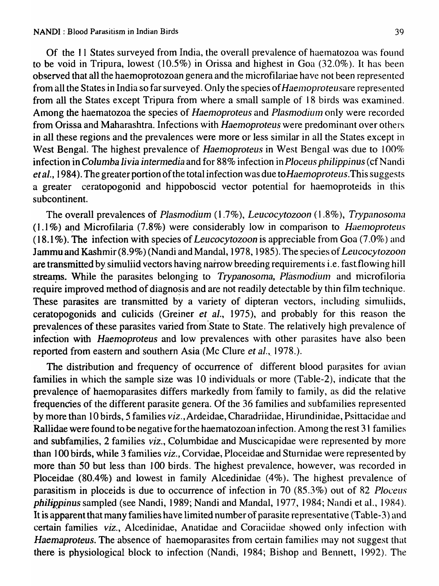Of the 11 States surveyed from India, the overall prevalence of haematozoa was found to be void in Tripura, lowest  $(10.5\%)$  in Orissa and highest in Goa  $(32.0\%)$ . It has been observed that all the haemoprotozoan genera and the microfilariae have not been represented from all the States in India so far surveyed. Only the species of *Haemoproteusare* represented from all the States except Tripura from where a small sample of 18 birds was examined. Among the haematozoa the species of *Haemoproteus* and *Plasmodium* only were recorded from Orissa and Maharashtra. Infections with *Haemoproteus* were predominant over others in all these regions and the prevalences were more or less similar in all the States except in West Bengal. The highest prevalence of *Haemoproteus* in West Bengal was due to 100% infection in *Columba livia intermedia* and for 88% infection in *Ploceus philippinus* (cf Nandi *et al.,* 1984). The greater portion of the total infection was due *to Haemoproteus*. This suggests a greater ceratopogonid and hippoboscid vector potential for haemoproteids in this subcontinent.

The overall prevalences of *Plasmodium* (1.7%), *Leucocytozoon* (1.8%), *Trypanosoma* (1.1%) and Microfilaria (7.8%) were considerably low in comparison to Haemoproteus (18.1%). The infection with species of *Leucocytozoon* is appreciable from Goa (7.0%) and Jammu and Kashmir (8.9%) (Nandi and Mandal, 1978, 1985). The species of *Leucocytozoon* are transmitted by simuliid vectors having narrow breeding requirements i.e. fast flowing hill streams. While the parasites belonging to *Trypanosoma, Plasmodium* and microfiloria require improved method of diagnosis and are not readily detectable by thin film technique. These parasites are transmitted by a variety of dipteran vectors, including simuliids, ceratopogonids and culicids (Greiner *et al.,* 1975), and probably for this reason the prevalences of these parasites varied from State to State. The relatively high prevalence of infection with *Haemoproteus* and low prevalences with other parasites have also been reported from eastern and southern Asia (Mc Clure *et al., 1978.)*.

The distribution and frequency of occurrence of different blood parasites for avian families in which the sample size was 10 individuals or more (Table-2), indicate that the prevalence of haemoparasites differs markedly from 'family to family, as did the relative frequencies of the different parasite genera. Of the 36 families and subfamilies represented .by more than 10 birds, 5 families *viz.,* Arde'idae, Charadriidae, Hirundinidae, Psittacidae and Rallidae were found to be negative for the haematozoan infection. Among the rest 31 families and subfamilies, 2 families *viz.*, Columbidae and Muscicapidae were represented by more than 100 birds, while 3 families *viz.*, Corvidae, Ploceidae and Sturnidae were represented by more than 50 but less than 100 birds. The highest prevalence, however, was recorded in Ploceidae (80.4%) and lowest in family Alcedinidae (4%). The highest prevalence of parasitism in ploceids is due to occurrence of infection in 70 (85.3%) out of 82 *Ploceus philippinus* sampled (see Nandi, 1989; Nandi and Mandal, 1977, 1984; Nandi et al., 1984). It is apparent that many families have limited number of parasite representative (Table-3) and certain families *viz.,* Alcedinidae, Anatidae and Coraciidae showed only infection with *Haemaproteus.* The absence of haemoparasites from certain families may not suggest that there is physiological block to infection (Nandi, 1984; Bishop and Bennett, 1992). The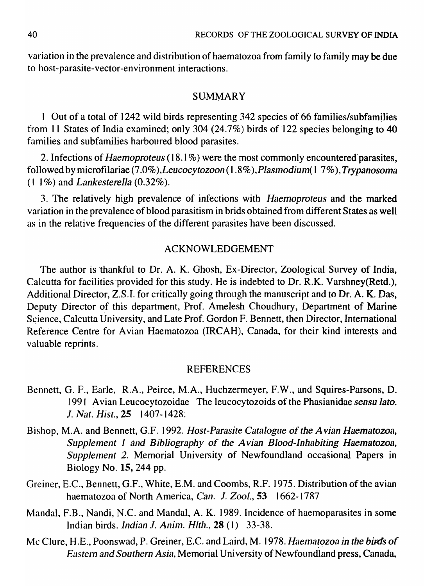variation in the prevalence and distribution of haematozoa from family to family may be due to host-parasite-vector-environment interactions.

# SUMMARY

1 Out of a total of 1242 wild birds representing 342 species of 66 families/subfamilies from 11 States of India examined; only 304 (24.7%) birds of 122 species belonging to 40 families and subfamilies harboured blood parasites.

2. Infections of *Haemoproteus* (18.1 %) were the most commonly encountered"parasites, followed by microfilariae (7.0% *),Leucocytozoon* (1.8% *),Plasmodium(* 1 7%), *Trypanosoma*  (I 1 %) and *Lankesterella* (0.32%).

3. The relatively high prevalence of infections with *Haemoproteus* and the marked variation in the prevalence of blood parasitism in brids obtained from different States as well as in the relative frequencies of the different parasites have been discussed.

# ACKNOWLEDGEMENT

The author is thankful to Dr. A. K. Ghosh, Ex-Director, Zoological Survey of India, Calcutta for facilities provided for this study. He is indebted to Dr. R.K. Varshney(Retd.), Additional Director, Z.S.I. for critically going through the manuscript and to Dr. A. K. Das, Deputy Director of this department, Prof. Amelesh Choudhury, Department of Marine Science, Calcutta University, and Late Prof. Gordon F. Bennett, then Director, International Reference Centre for Avian Haematozoa (IRCAH), Canada, for their kind interests and valuable reprints.

### REFERENCES

- Bennett, G. F., Earle, R.A., Peirce, M.A., Huchzermeyer, F.W., and Squires-Parsons, D. 1991 Avian Leucocytozoidae The leucocytozoids of the Phasianidae *sensu lato.*  J. Nat. Hist., 25 1407-1428.
- Bishop, M.A. and Bennett, G.F. 1992. *Host-Parasite Catalogue* of *the Avian Haematozoa, Supplement* J *and Bibliography of the A vian Blood-Inhabiting Haematozoa, Supplement* 2. Memorial University of Newfoundland occasional Papers in Biology No. 15, 244 pp.
- Greiner, E.C., Bennett, G.F., White, E.M. and Coombs, R.F. 1975. Distribution of the avian haematozoa of North America, *Can.* J. *Zool.,* 53 1662-1787
- Mandal, F.B., Nandi, N.C. and Mandal, A. K. 1989. Incidence of haemoparasites in some Indian birds. *Indian* J. *Anim. Hlth.,* 28 (I) 33-38.
- Mc Clure, H.E., Poonswad, P. Greiner, E.C. and Laird, M. 1978. Haematozoa in the birds of *Eastern and Southern Asia,* Memorial University of Newfoundland press, Canada,